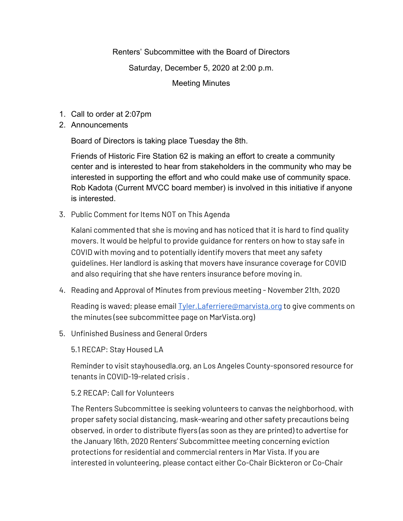## Renters' Subcommittee with the Board of Directors

Saturday, December 5, 2020 at 2:00 p.m.

Meeting Minutes

- 1. Call to order at 2:07pm
- 2. Announcements

Board of Directors is taking place Tuesday the 8th.

Friends of Historic Fire Station 62 is making an effort to create a community center and is interested to hear from stakeholders in the community who may be interested in supporting the effort and who could make use of community space. Rob Kadota (Current MVCC board member) is involved in this initiative if anyone is interested.

3. Public Comment for Items NOT on This Agenda

Kalani commented that she is moving and has noticed that it is hard to find quality movers. It would be helpful to provide guidance for renters on how to stay safe in COVID with moving and to potentially identify movers that meet any safety guidelines. Her landlord is asking that movers have insurance coverage for COVID and also requiring that she have renters insurance before moving in.

4. Reading and Approval of Minutes from previous meeting - November 21th, 2020

Reading is waved; please email **[Tyler.Laferriere@marvista.org](mailto:Tyler.Laferriere@marvista.org)** to give comments on the minutes (see subcommittee page on MarVista.org)

5. Unfinished Business and General Orders

5.1 RECAP: Stay Housed LA

Reminder to visit stayhousedla.org, an Los Angeles County-sponsored resource for tenants in COVID-19-related crisis .

## 5.2 RECAP: Call for Volunteers

The Renters Subcommittee is seeking volunteers to canvas the neighborhood, with proper safety social distancing, mask-wearing and other safety precautions being observed, in order to distribute flyers (as soon as they are printed) to advertise for the January 16th, 2020 Renters' Subcommittee meeting concerning eviction protections for residential and commercial renters in Mar Vista. If you are interested in volunteering, please contact either Co-Chair Bickteron or Co-Chair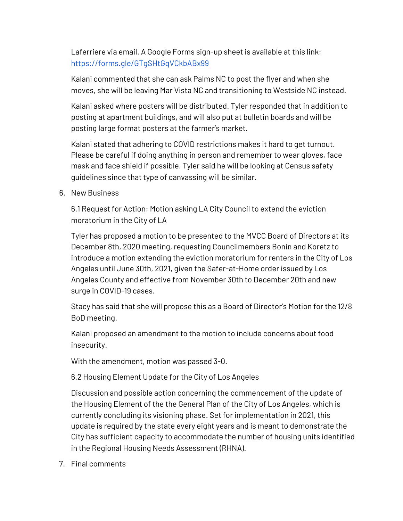Laferriere via email. A Google Forms sign-up sheet is available at this link: <https://forms.gle/GTgSHtGqVCkbABx99>

Kalani commented that she can ask Palms NC to post the flyer and when she moves, she will be leaving Mar Vista NC and transitioning to Westside NC instead.

Kalani asked where posters will be distributed. Tyler responded that in addition to posting at apartment buildings, and will also put at bulletin boards and will be posting large format posters at the farmer's market.

Kalani stated that adhering to COVID restrictions makes it hard to get turnout. Please be careful if doing anything in person and remember to wear gloves, face mask and face shield if possible. Tyler said he will be looking at Census safety guidelines since that type of canvassing will be similar.

6. New Business

6.1 Request for Action: Motion asking LA City Council to extend the eviction moratorium in the City of LA

Tyler has proposed a motion to be presented to the MVCC Board of Directors at its December 8th, 2020 meeting, requesting Councilmembers Bonin and Koretz to introduce a motion extending the eviction moratorium for renters in the City of Los Angeles until June 30th, 2021, given the Safer-at-Home order issued by Los Angeles County and effective from November 30th to December 20th and new surge in COVID-19 cases.

Stacy has said that she will propose this as a Board of Director's Motion for the 12/8 BoD meeting.

Kalani proposed an amendment to the motion to include concerns about food insecurity.

With the amendment, motion was passed 3-0.

6.2 Housing Element Update for the City of Los Angeles

Discussion and possible action concerning the commencement of the update of the Housing Element of the the General Plan of the City of Los Angeles, which is currently concluding its visioning phase. Set for implementation in 2021, this update is required by the state every eight years and is meant to demonstrate the City has sufficient capacity to accommodate the number of housing units identified in the Regional Housing Needs Assessment (RHNA).

7. Final comments